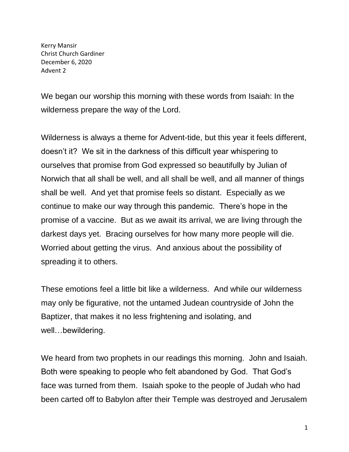Kerry Mansir Christ Church Gardiner December 6, 2020 Advent 2

We began our worship this morning with these words from Isaiah: In the wilderness prepare the way of the Lord.

Wilderness is always a theme for Advent-tide, but this year it feels different, doesn't it? We sit in the darkness of this difficult year whispering to ourselves that promise from God expressed so beautifully by Julian of Norwich that all shall be well, and all shall be well, and all manner of things shall be well. And yet that promise feels so distant. Especially as we continue to make our way through this pandemic. There's hope in the promise of a vaccine. But as we await its arrival, we are living through the darkest days yet. Bracing ourselves for how many more people will die. Worried about getting the virus. And anxious about the possibility of spreading it to others.

These emotions feel a little bit like a wilderness. And while our wilderness may only be figurative, not the untamed Judean countryside of John the Baptizer, that makes it no less frightening and isolating, and well…bewildering.

We heard from two prophets in our readings this morning. John and Isaiah. Both were speaking to people who felt abandoned by God. That God's face was turned from them. Isaiah spoke to the people of Judah who had been carted off to Babylon after their Temple was destroyed and Jerusalem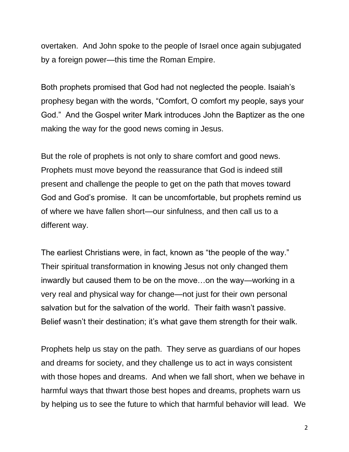overtaken. And John spoke to the people of Israel once again subjugated by a foreign power—this time the Roman Empire.

Both prophets promised that God had not neglected the people. Isaiah's prophesy began with the words, "Comfort, O comfort my people, says your God." And the Gospel writer Mark introduces John the Baptizer as the one making the way for the good news coming in Jesus.

But the role of prophets is not only to share comfort and good news. Prophets must move beyond the reassurance that God is indeed still present and challenge the people to get on the path that moves toward God and God's promise. It can be uncomfortable, but prophets remind us of where we have fallen short—our sinfulness, and then call us to a different way.

The earliest Christians were, in fact, known as "the people of the way." Their spiritual transformation in knowing Jesus not only changed them inwardly but caused them to be on the move…on the way—working in a very real and physical way for change—not just for their own personal salvation but for the salvation of the world. Their faith wasn't passive. Belief wasn't their destination; it's what gave them strength for their walk.

Prophets help us stay on the path. They serve as guardians of our hopes and dreams for society, and they challenge us to act in ways consistent with those hopes and dreams. And when we fall short, when we behave in harmful ways that thwart those best hopes and dreams, prophets warn us by helping us to see the future to which that harmful behavior will lead. We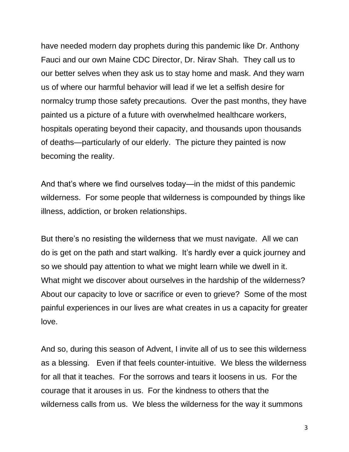have needed modern day prophets during this pandemic like Dr. Anthony Fauci and our own Maine CDC Director, Dr. Nirav Shah. They call us to our better selves when they ask us to stay home and mask. And they warn us of where our harmful behavior will lead if we let a selfish desire for normalcy trump those safety precautions. Over the past months, they have painted us a picture of a future with overwhelmed healthcare workers, hospitals operating beyond their capacity, and thousands upon thousands of deaths—particularly of our elderly. The picture they painted is now becoming the reality.

And that's where we find ourselves today—in the midst of this pandemic wilderness. For some people that wilderness is compounded by things like illness, addiction, or broken relationships.

But there's no resisting the wilderness that we must navigate. All we can do is get on the path and start walking. It's hardly ever a quick journey and so we should pay attention to what we might learn while we dwell in it. What might we discover about ourselves in the hardship of the wilderness? About our capacity to love or sacrifice or even to grieve? Some of the most painful experiences in our lives are what creates in us a capacity for greater love.

And so, during this season of Advent, I invite all of us to see this wilderness as a blessing. Even if that feels counter-intuitive. We bless the wilderness for all that it teaches. For the sorrows and tears it loosens in us. For the courage that it arouses in us. For the kindness to others that the wilderness calls from us. We bless the wilderness for the way it summons